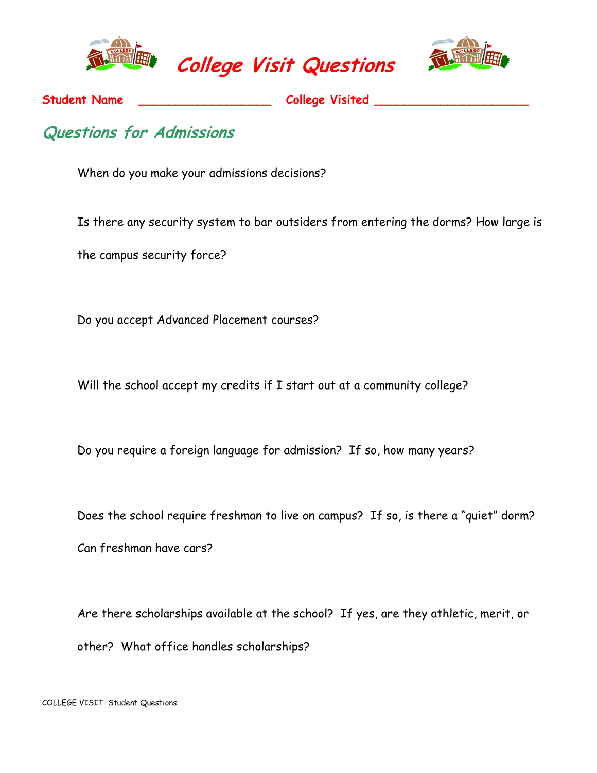





Student Name \_\_\_\_\_\_\_\_\_\_\_\_\_\_\_\_\_\_\_\_\_\_\_\_\_\_ College Visited \_

## Questions for Admissions

When do you make your admissions decisions?

Is there any security system to bar outsiders from entering the dorms? How large is

the campus security force?

Do you accept Advanced Placement courses?

Will the school accept my credits if I start out at a community college?

Do you require a foreign language for admission? If so, how many years?

Does the school require freshman to live on campus? If so, is there a "quiet" dorm?

Can freshman have cars?

Are there scholarships available at the school? If yes, are they athletic, merit, or other? What office handles scholarships?

COLLEGE VISIT Student Questions